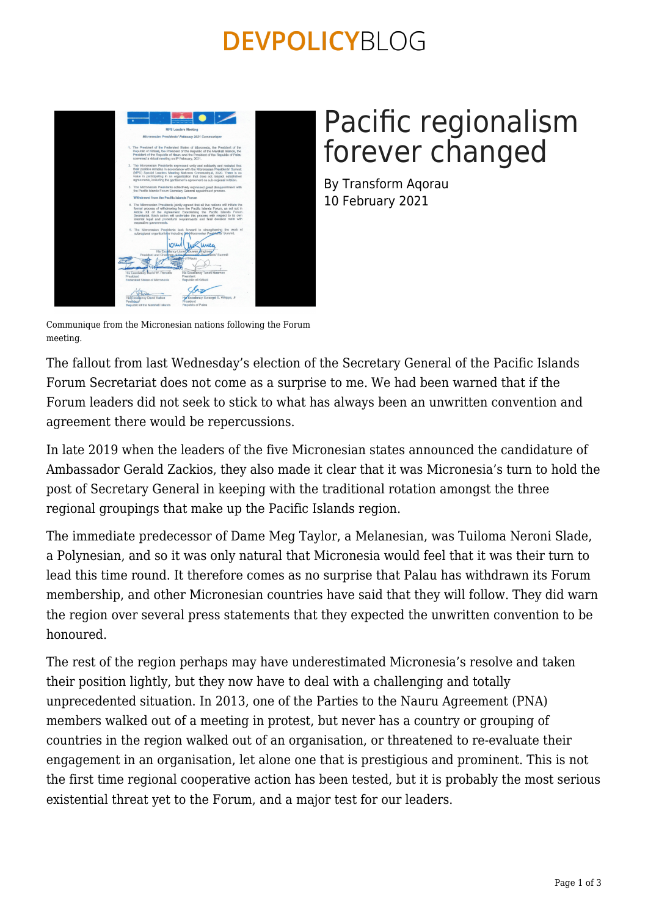## **DEVPOLICYBLOG**



# Pacific regionalism forever changed

By Transform Aqorau 10 February 2021

Communique from the Micronesian nations following the Forum meeting.

The fallout from last Wednesday's election of the Secretary General of the Pacific Islands Forum Secretariat does not come as a surprise to me. We had been warned that if the Forum leaders did not seek to stick to what has always been an unwritten convention and agreement there would be repercussions.

In late 2019 when the leaders of the five Micronesian states announced the candidature of Ambassador Gerald Zackios, they also made it clear that it was Micronesia's turn to hold the post of Secretary General in keeping with the traditional rotation amongst the three regional groupings that make up the Pacific Islands region.

The immediate predecessor of Dame Meg Taylor, a Melanesian, was Tuiloma Neroni Slade, a Polynesian, and so it was only natural that Micronesia would feel that it was their turn to lead this time round. It therefore comes as no surprise that Palau has withdrawn its Forum membership, and other Micronesian countries have said that they will follow. They did warn the region over several press statements that they expected the unwritten convention to be honoured.

The rest of the region perhaps may have underestimated Micronesia's resolve and taken their position lightly, but they now have to deal with a challenging and totally unprecedented situation. In 2013, one of the Parties to the Nauru Agreement (PNA) members walked out of a meeting in protest, but never has a country or grouping of countries in the region walked out of an organisation, or threatened to re-evaluate their engagement in an organisation, let alone one that is prestigious and prominent. This is not the first time regional cooperative action has been tested, but it is probably the most serious existential threat yet to the Forum, and a major test for our leaders.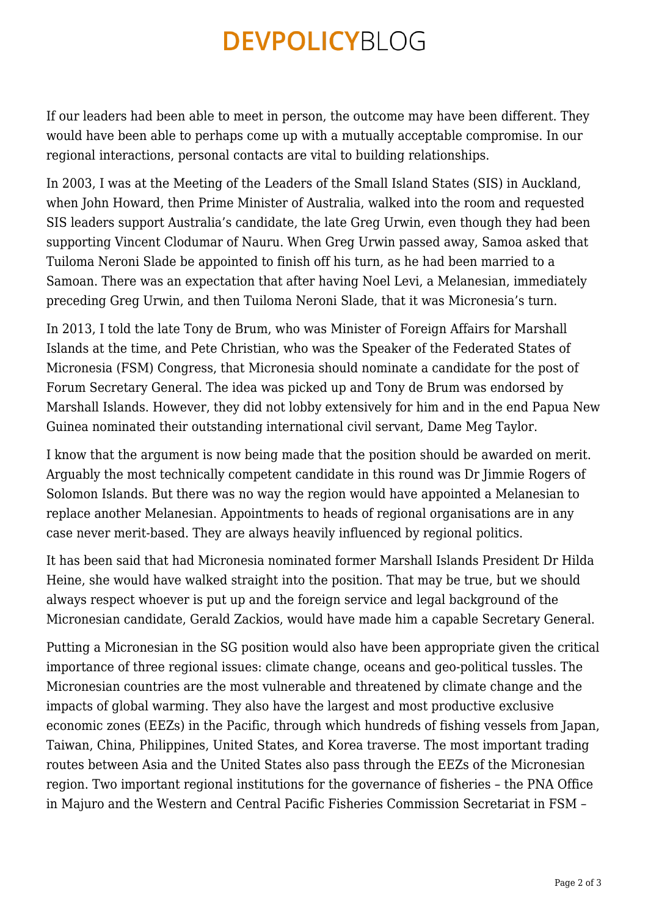### **DEVPOLICYBLOG**

If our leaders had been able to meet in person, the outcome may have been different. They would have been able to perhaps come up with a mutually acceptable compromise. In our regional interactions, personal contacts are vital to building relationships.

In 2003, I was at the Meeting of the Leaders of the Small Island States (SIS) in Auckland, when John Howard, then Prime Minister of Australia, walked into the room and requested SIS leaders support Australia's candidate, the late Greg Urwin, even though they had been supporting Vincent Clodumar of Nauru. When Greg Urwin passed away, Samoa asked that Tuiloma Neroni Slade be appointed to finish off his turn, as he had been married to a Samoan. There was an expectation that after having Noel Levi, a Melanesian, immediately preceding Greg Urwin, and then Tuiloma Neroni Slade, that it was Micronesia's turn.

In 2013, I told the late Tony de Brum, who was Minister of Foreign Affairs for Marshall Islands at the time, and Pete Christian, who was the Speaker of the Federated States of Micronesia (FSM) Congress, that Micronesia should nominate a candidate for the post of Forum Secretary General. The idea was picked up and Tony de Brum was endorsed by Marshall Islands. However, they did not lobby extensively for him and in the end Papua New Guinea nominated their outstanding international civil servant, Dame Meg Taylor.

I know that the argument is now being made that the position should be awarded on merit. Arguably the most technically competent candidate in this round was Dr Jimmie Rogers of Solomon Islands. But there was no way the region would have appointed a Melanesian to replace another Melanesian. Appointments to heads of regional organisations are in any case never merit-based. They are always heavily influenced by regional politics.

It has been said that had Micronesia nominated former Marshall Islands President Dr Hilda Heine, she would have walked straight into the position. That may be true, but we should always respect whoever is put up and the foreign service and legal background of the Micronesian candidate, Gerald Zackios, would have made him a capable Secretary General.

Putting a Micronesian in the SG position would also have been appropriate given the critical importance of three regional issues: climate change, oceans and geo-political tussles. The Micronesian countries are the most vulnerable and threatened by climate change and the impacts of global warming. They also have the largest and most productive exclusive economic zones (EEZs) in the Pacific, through which hundreds of fishing vessels from Japan, Taiwan, China, Philippines, United States, and Korea traverse. The most important trading routes between Asia and the United States also pass through the EEZs of the Micronesian region. Two important regional institutions for the governance of fisheries – the PNA Office in Majuro and the Western and Central Pacific Fisheries Commission Secretariat in FSM –